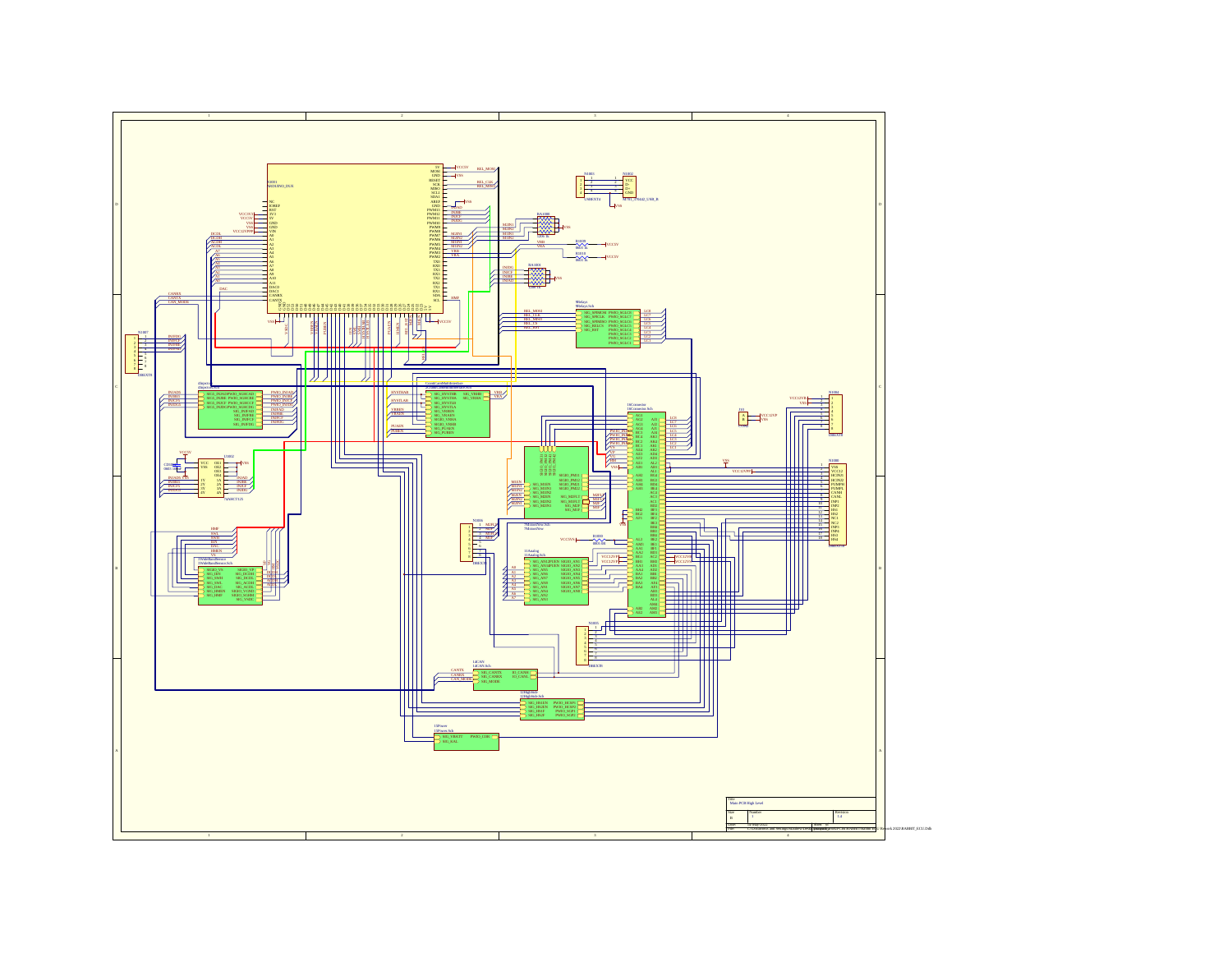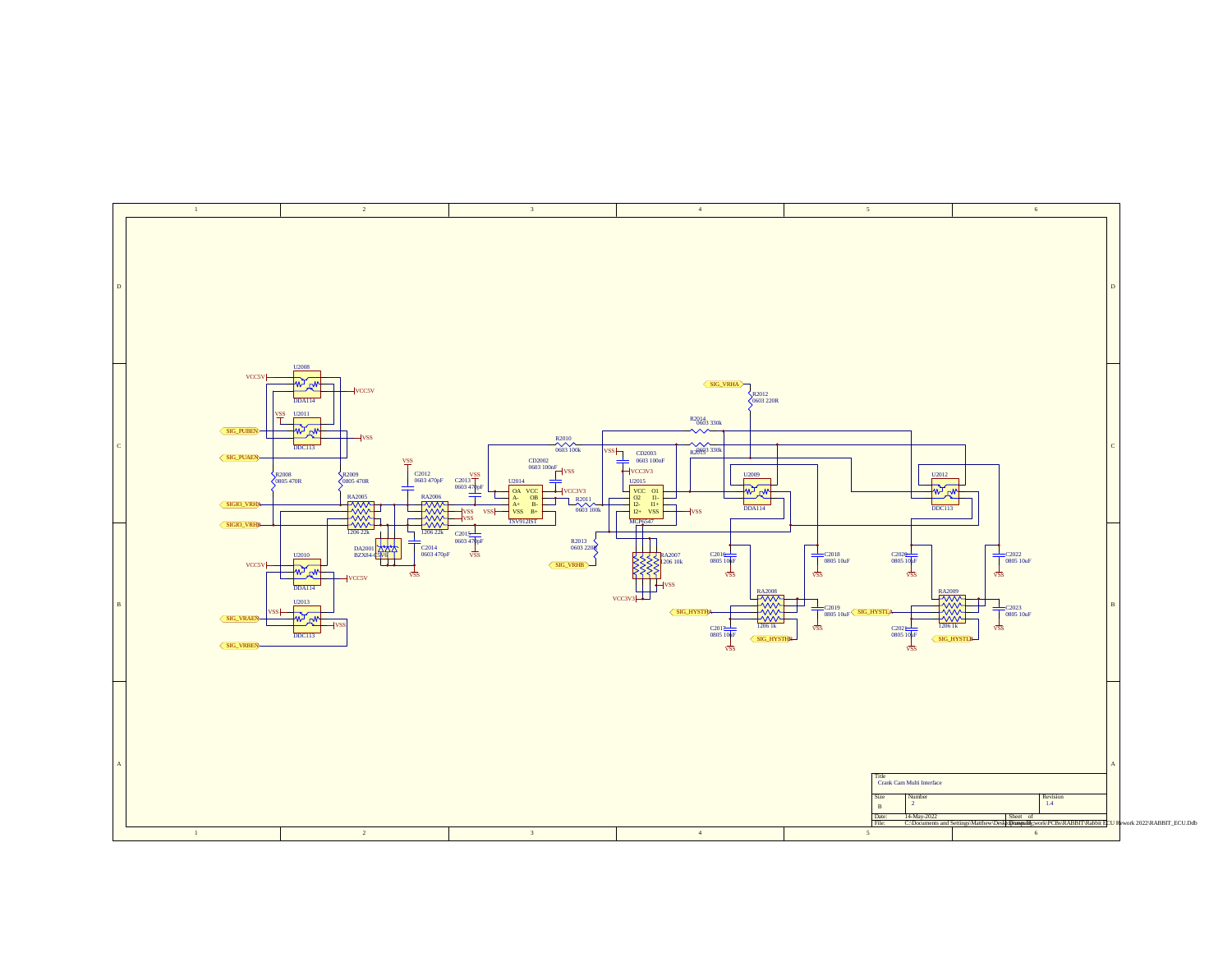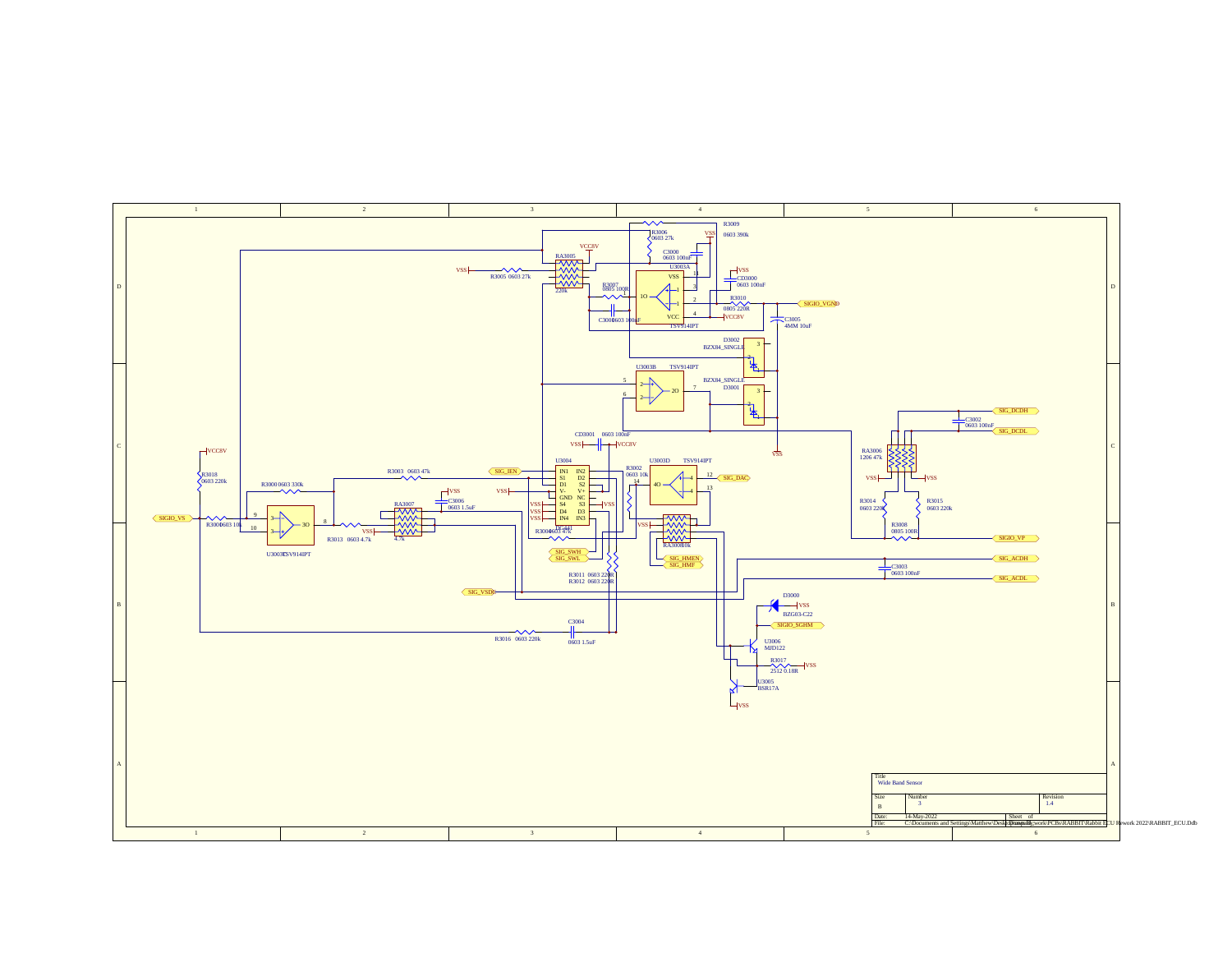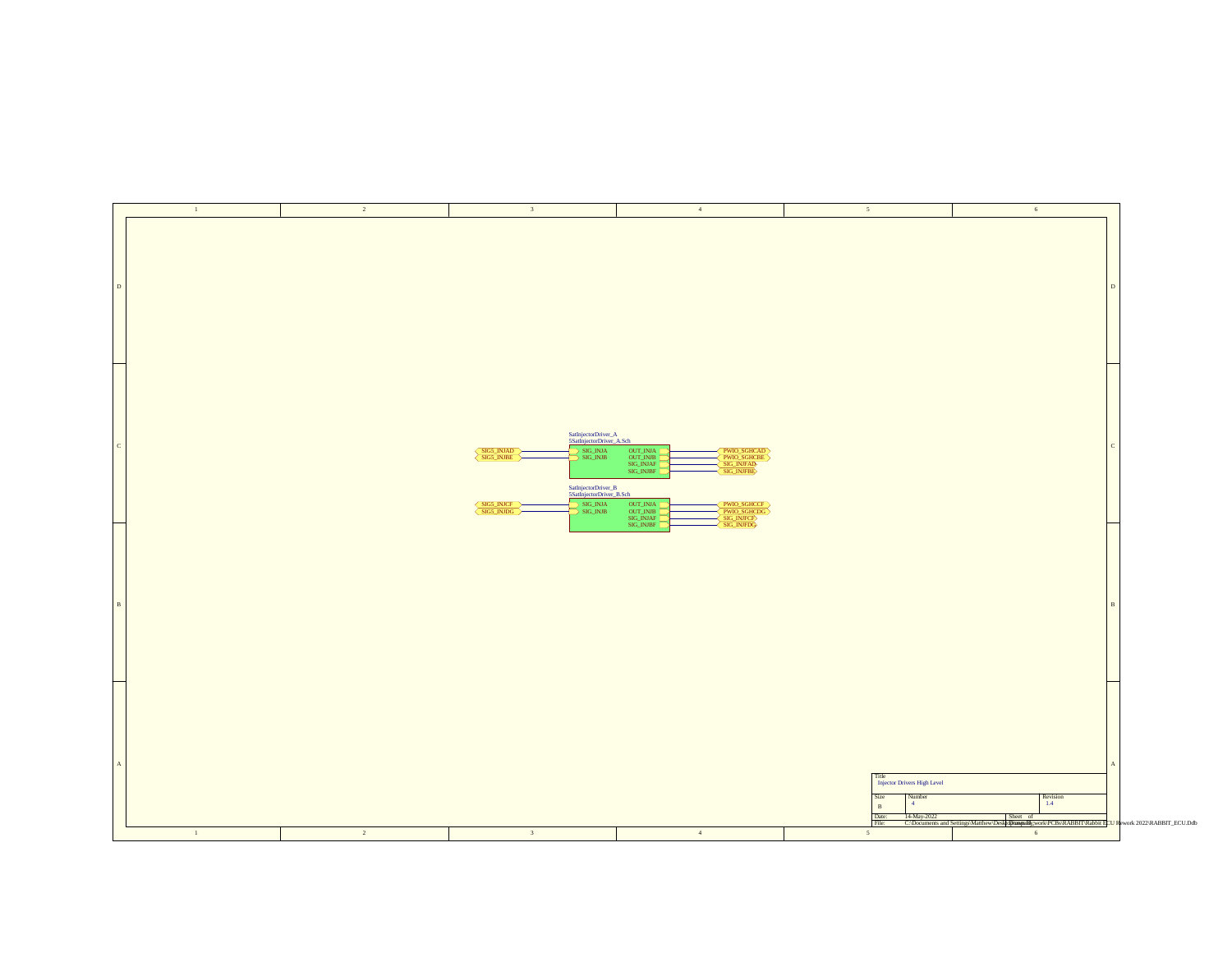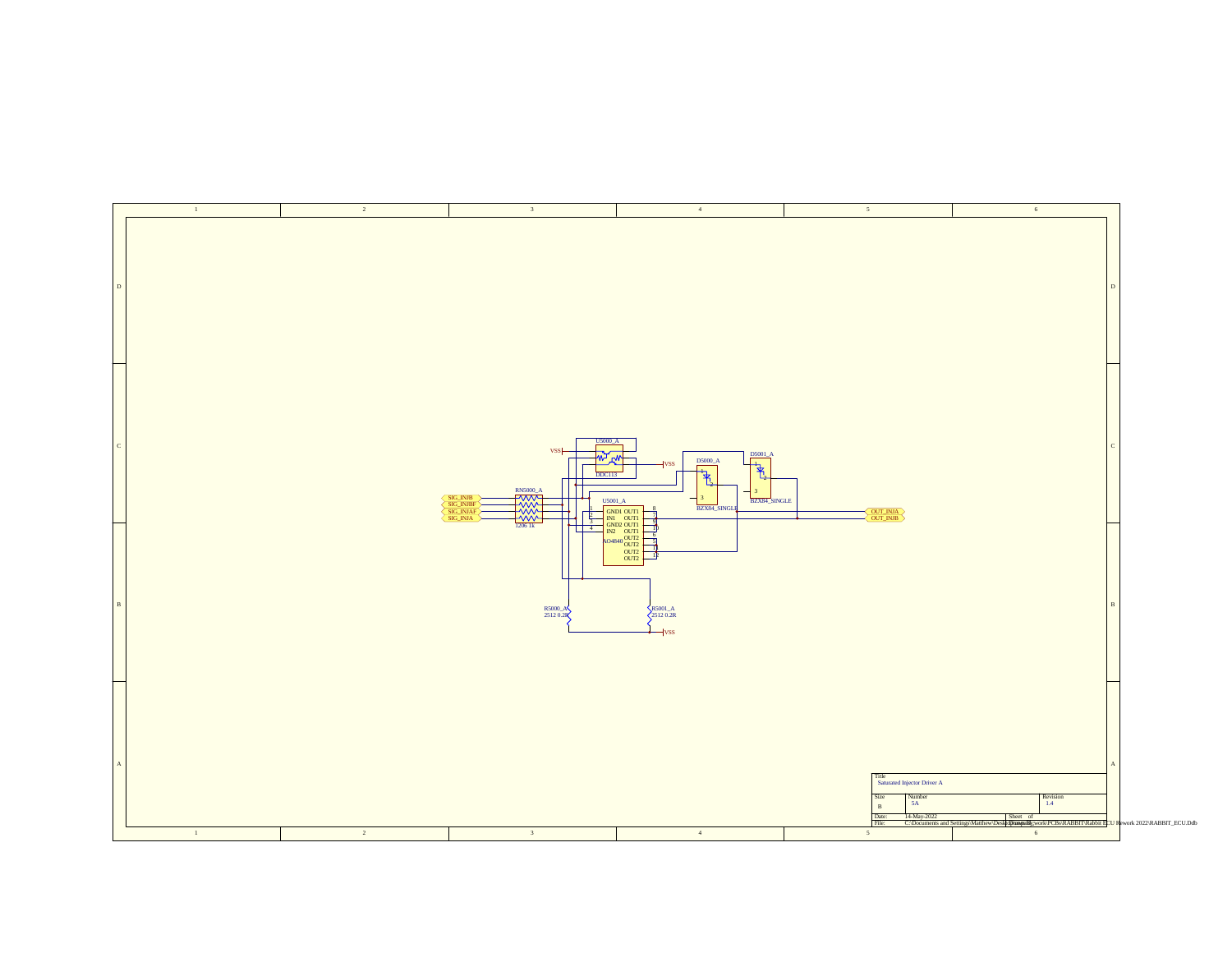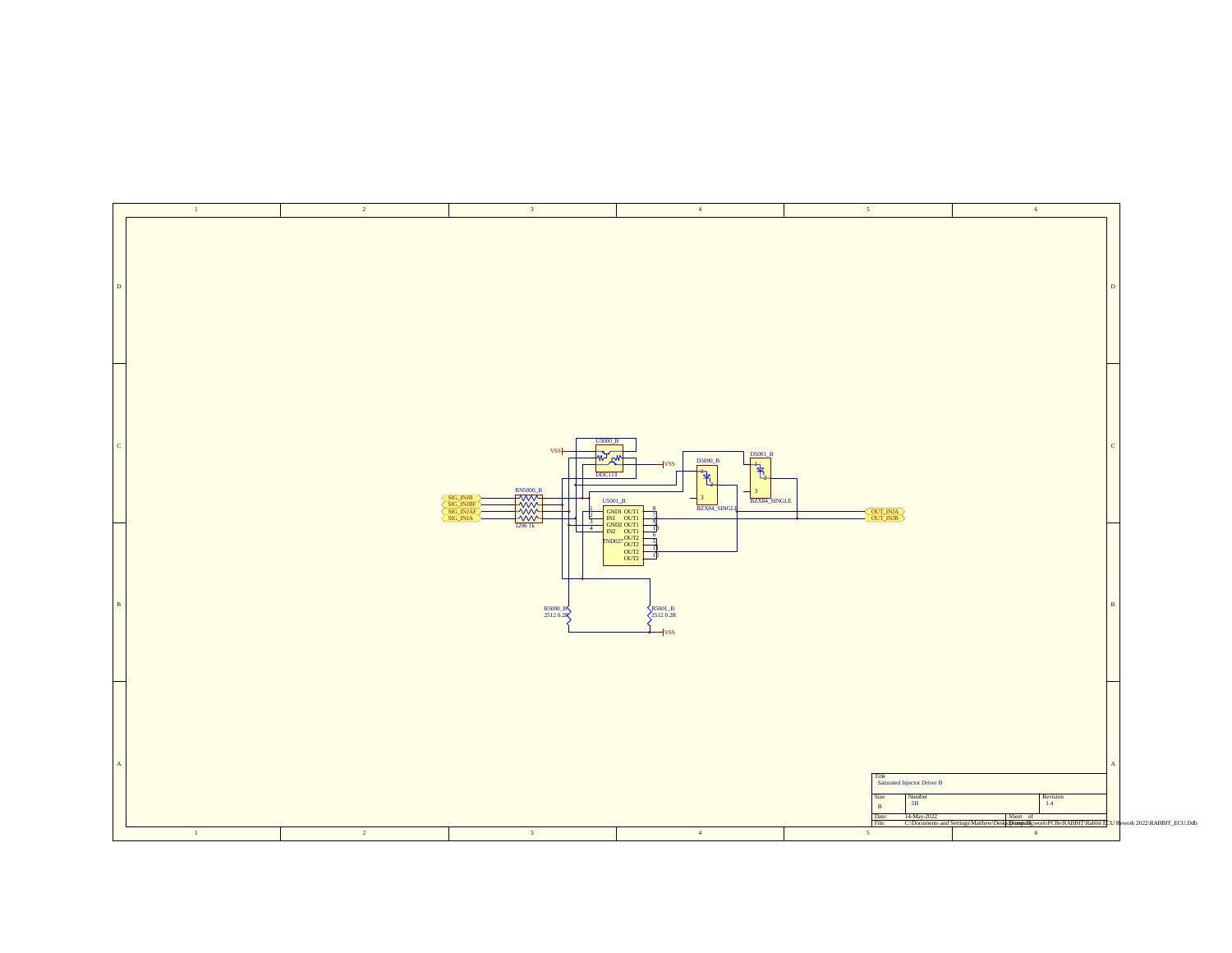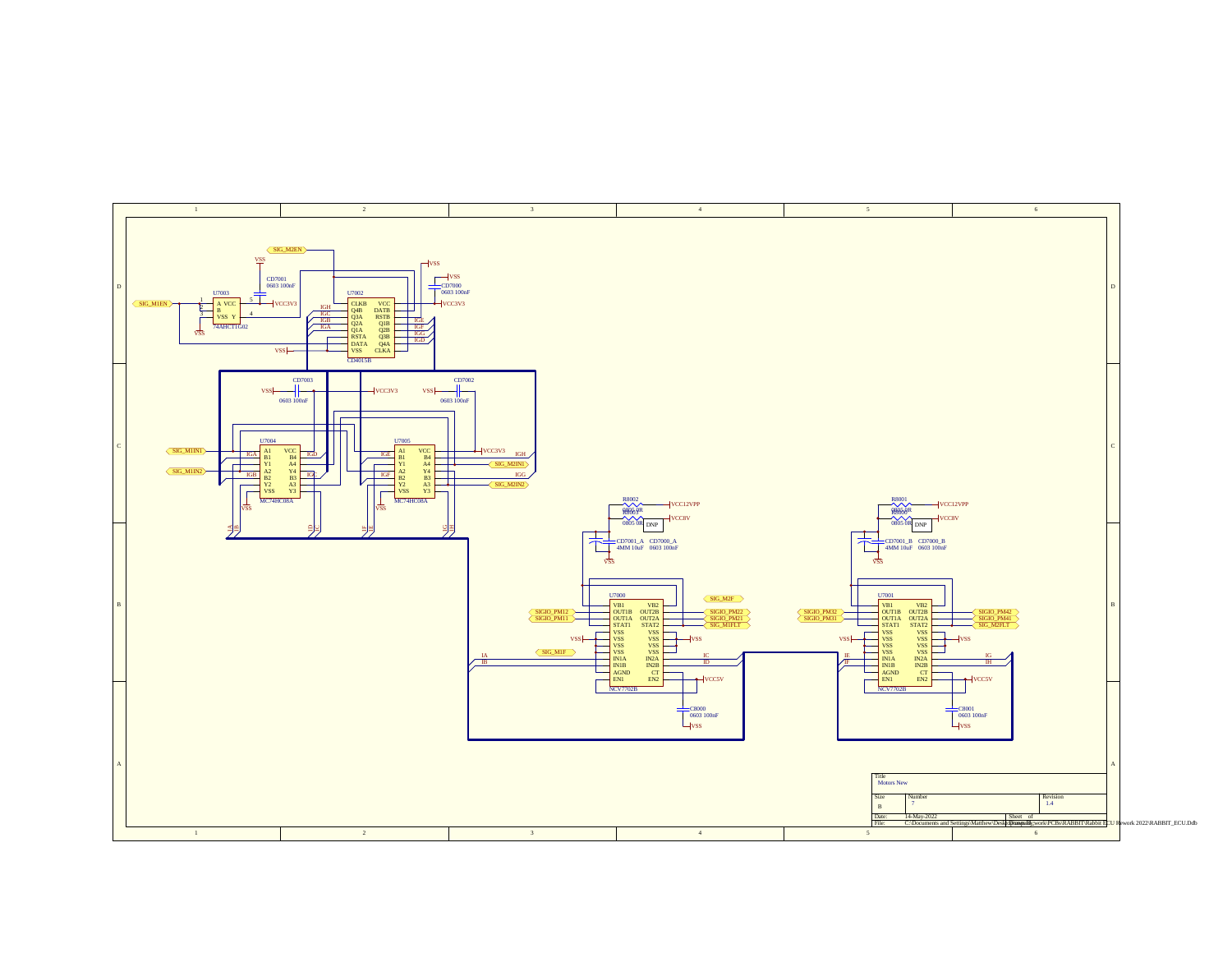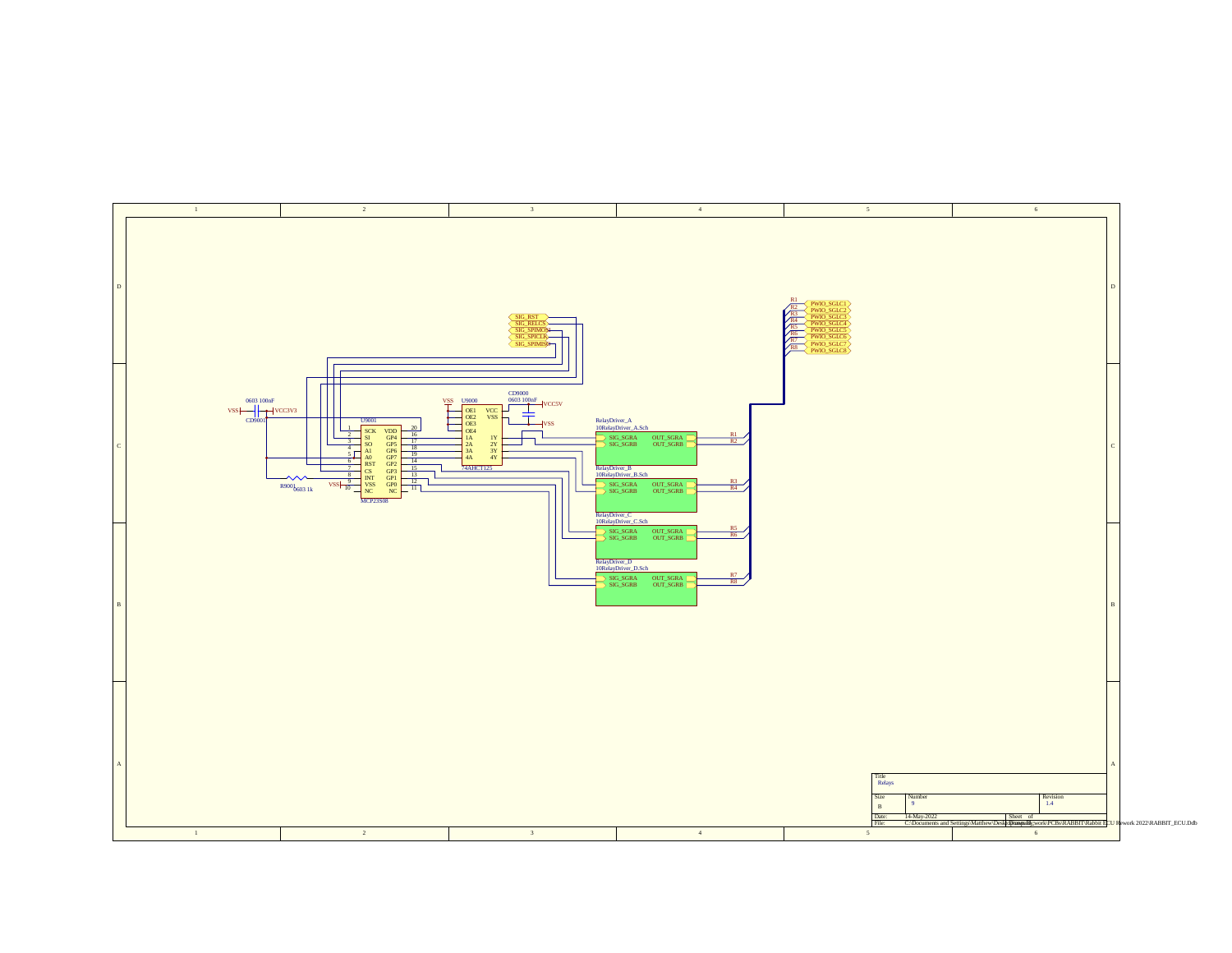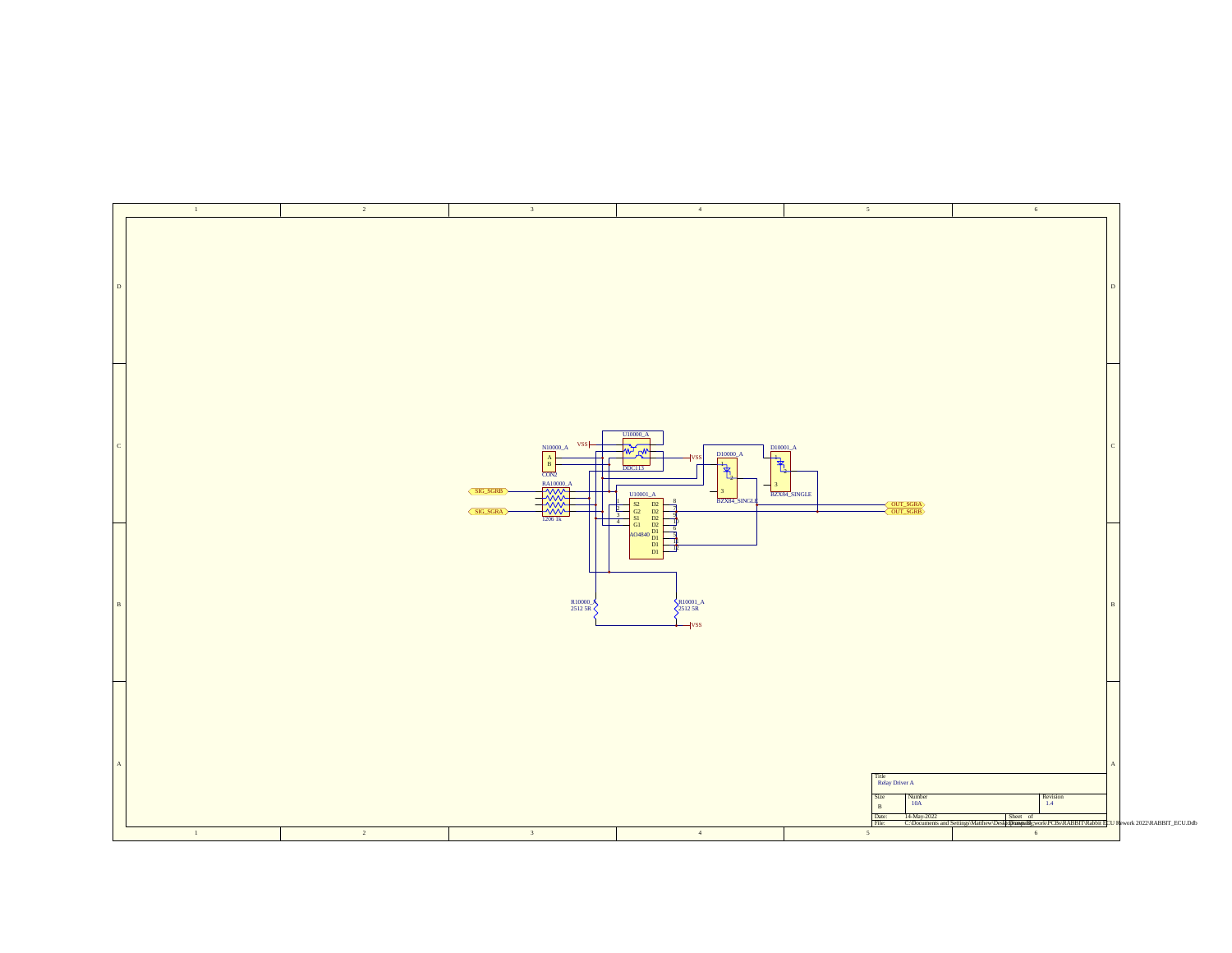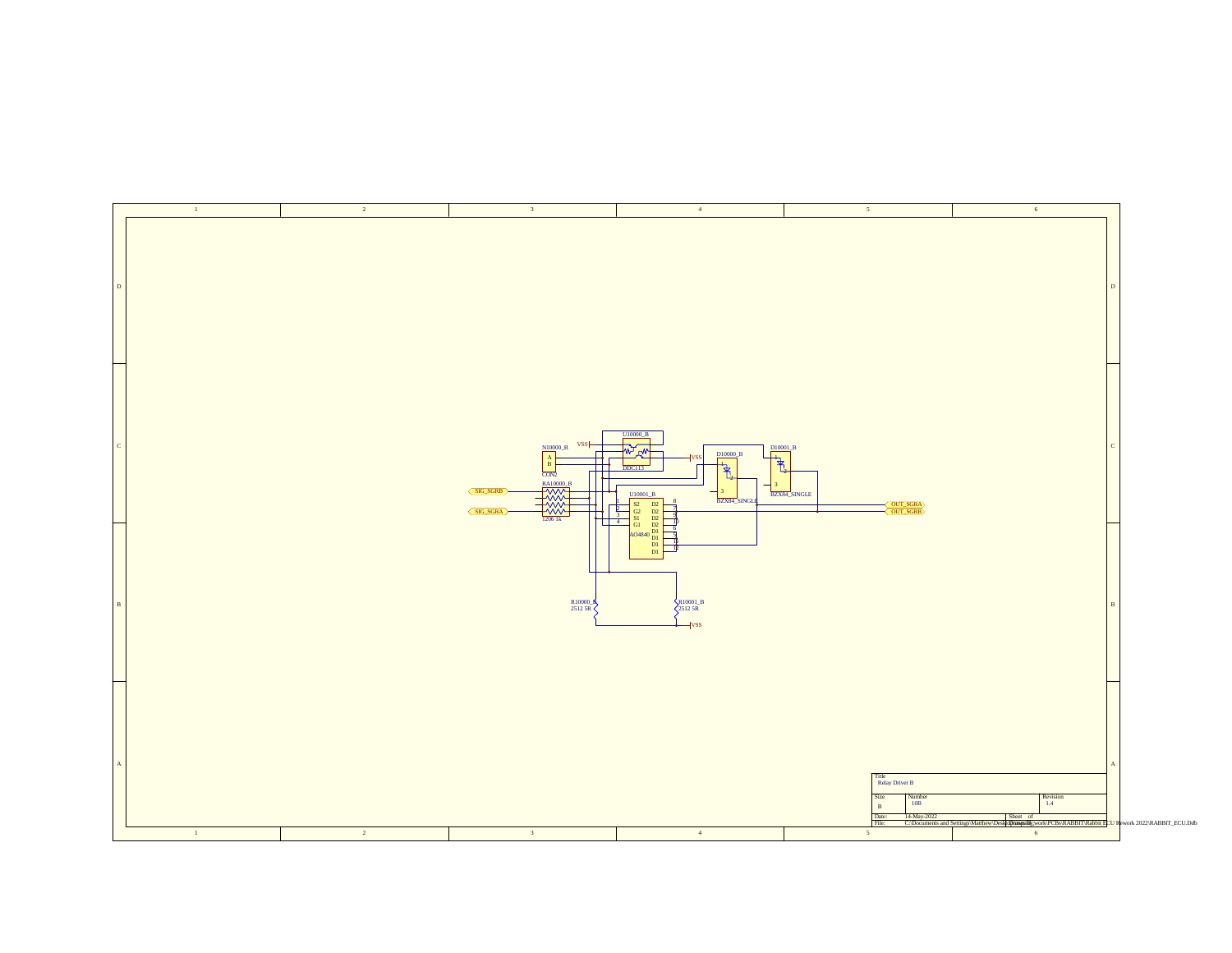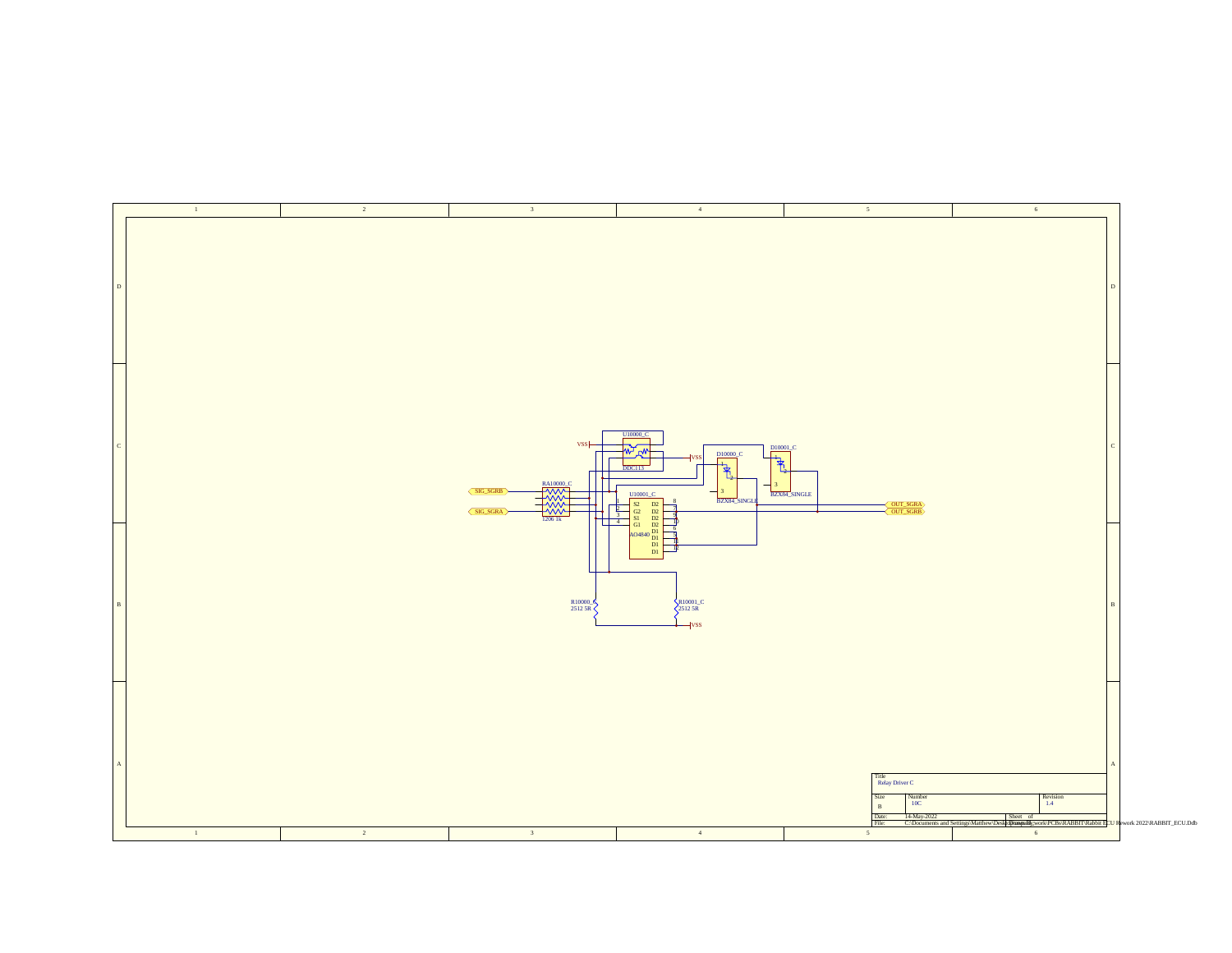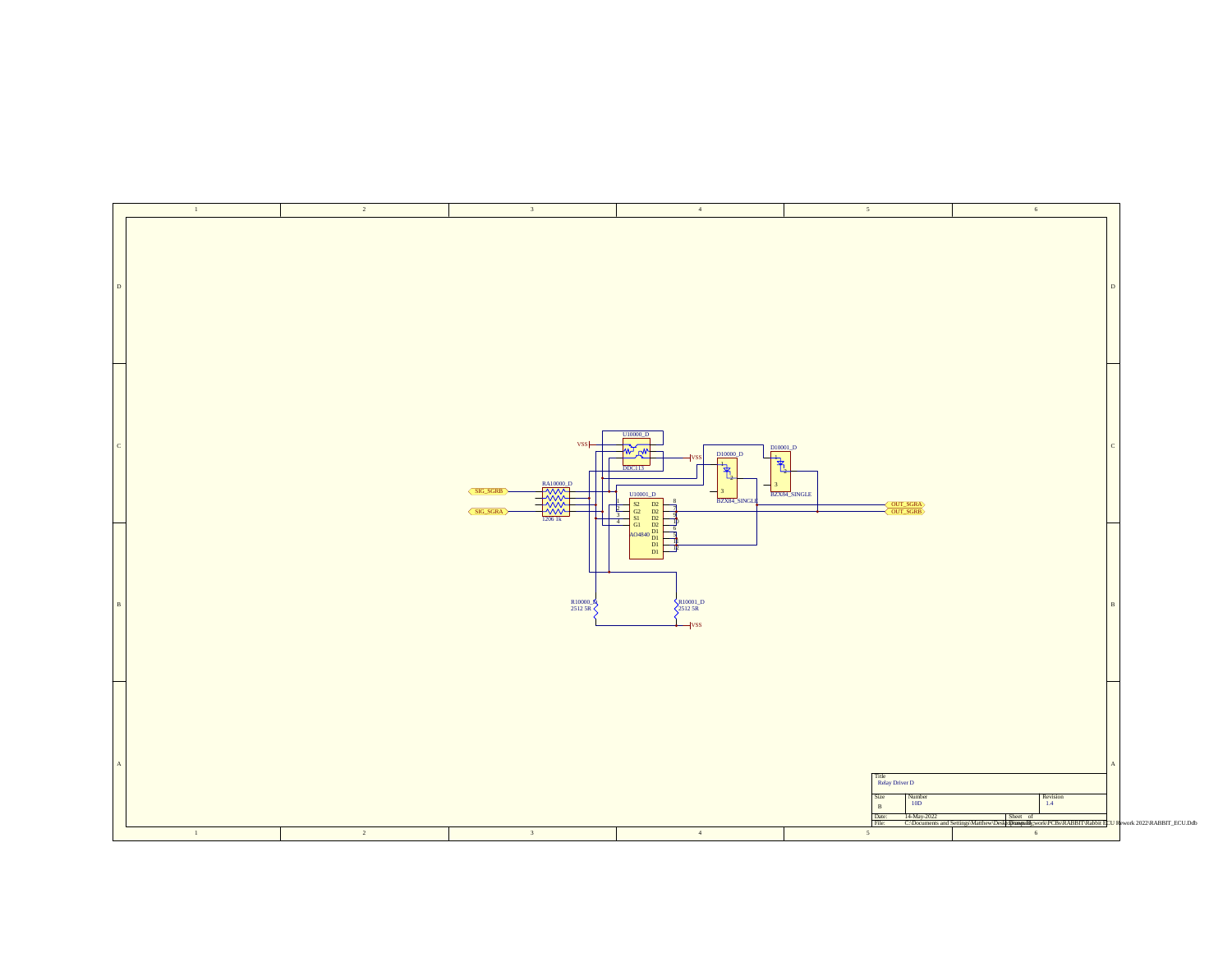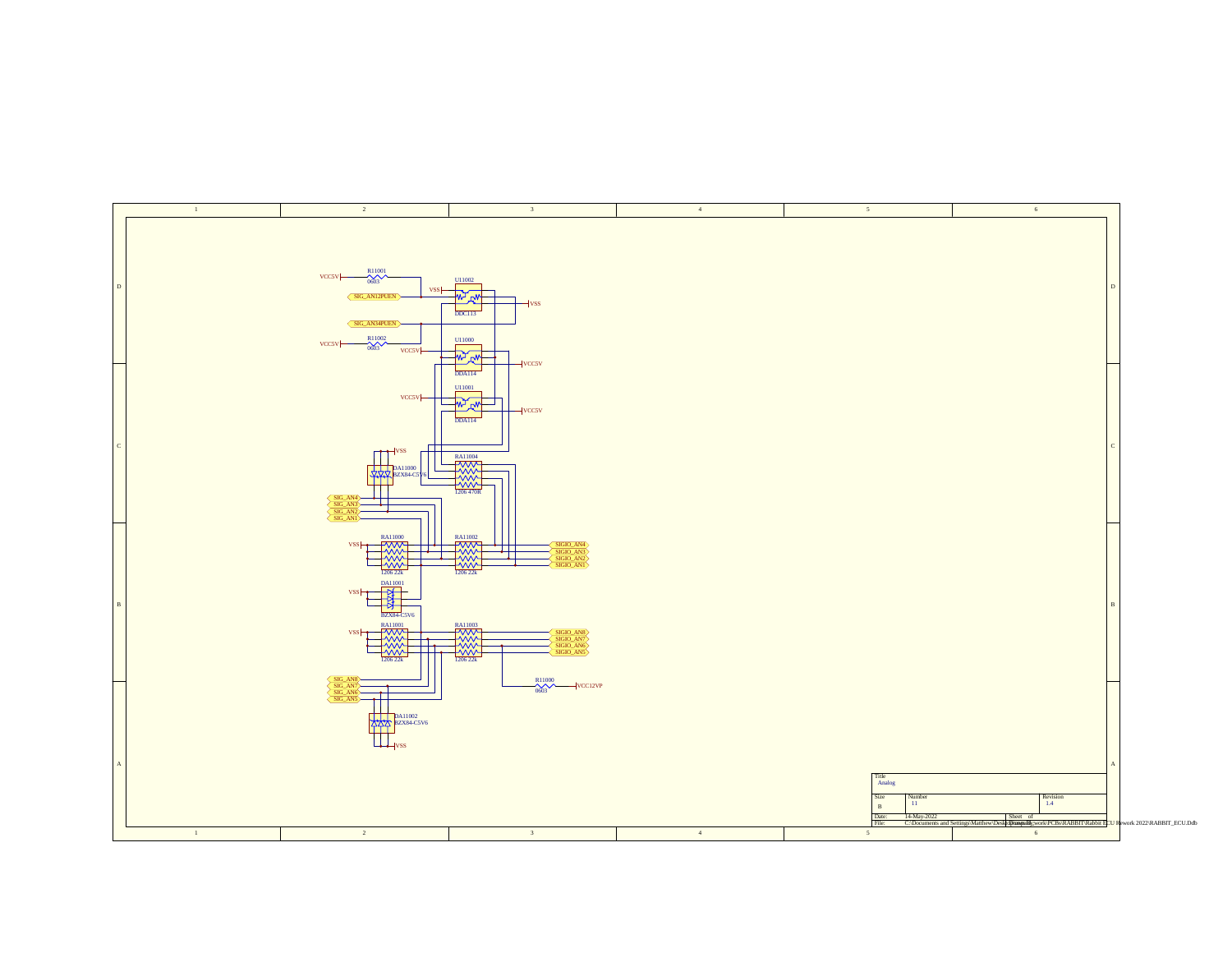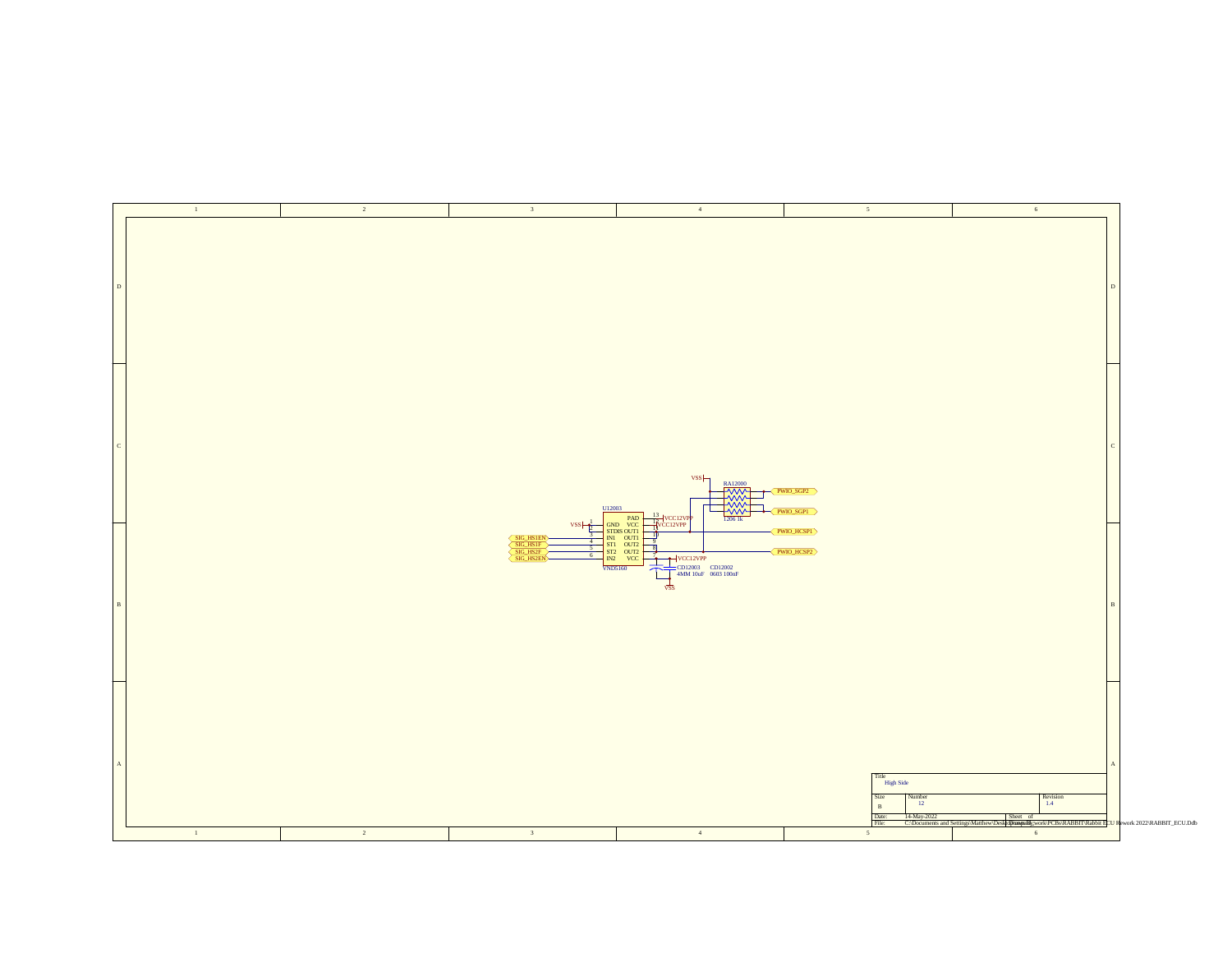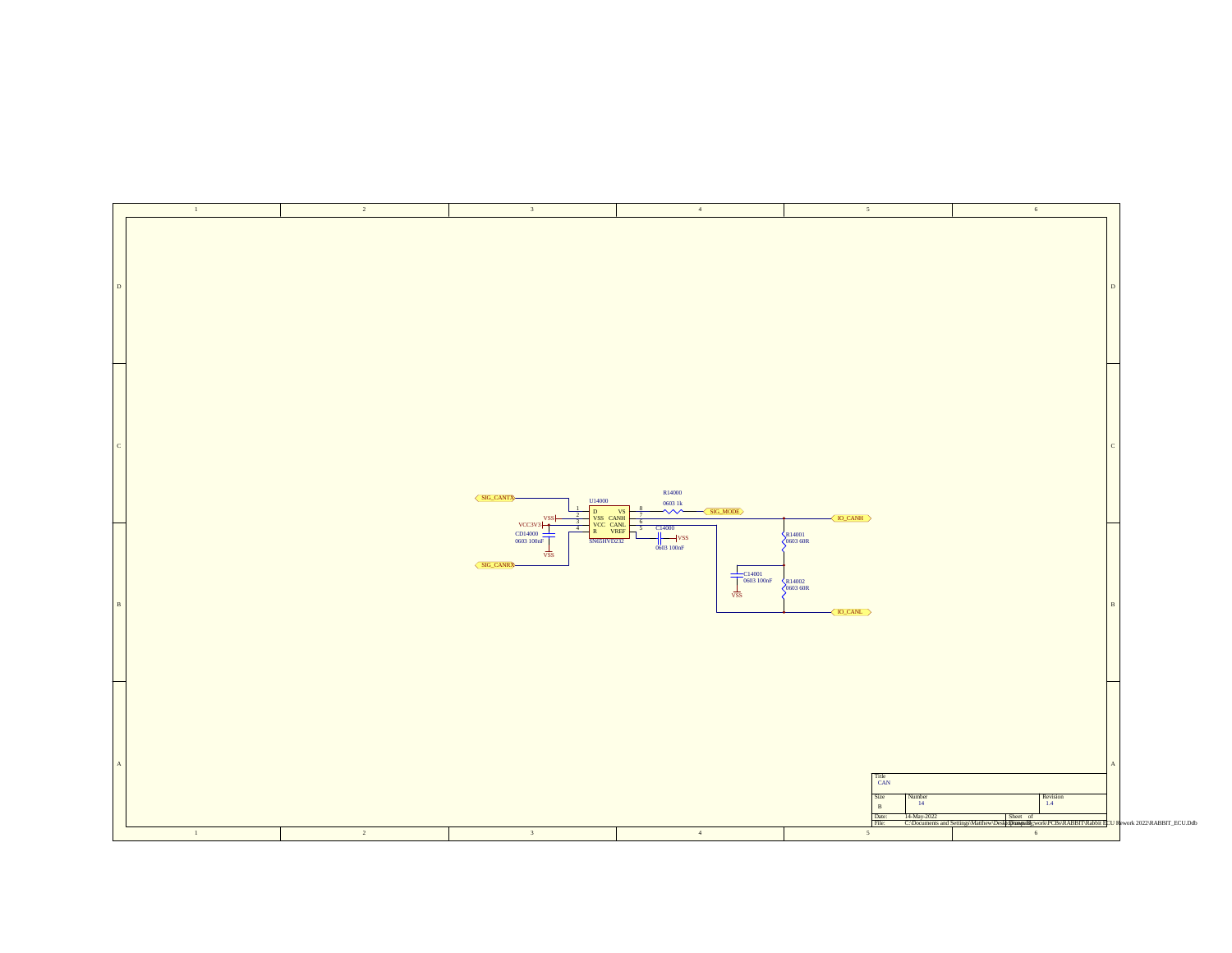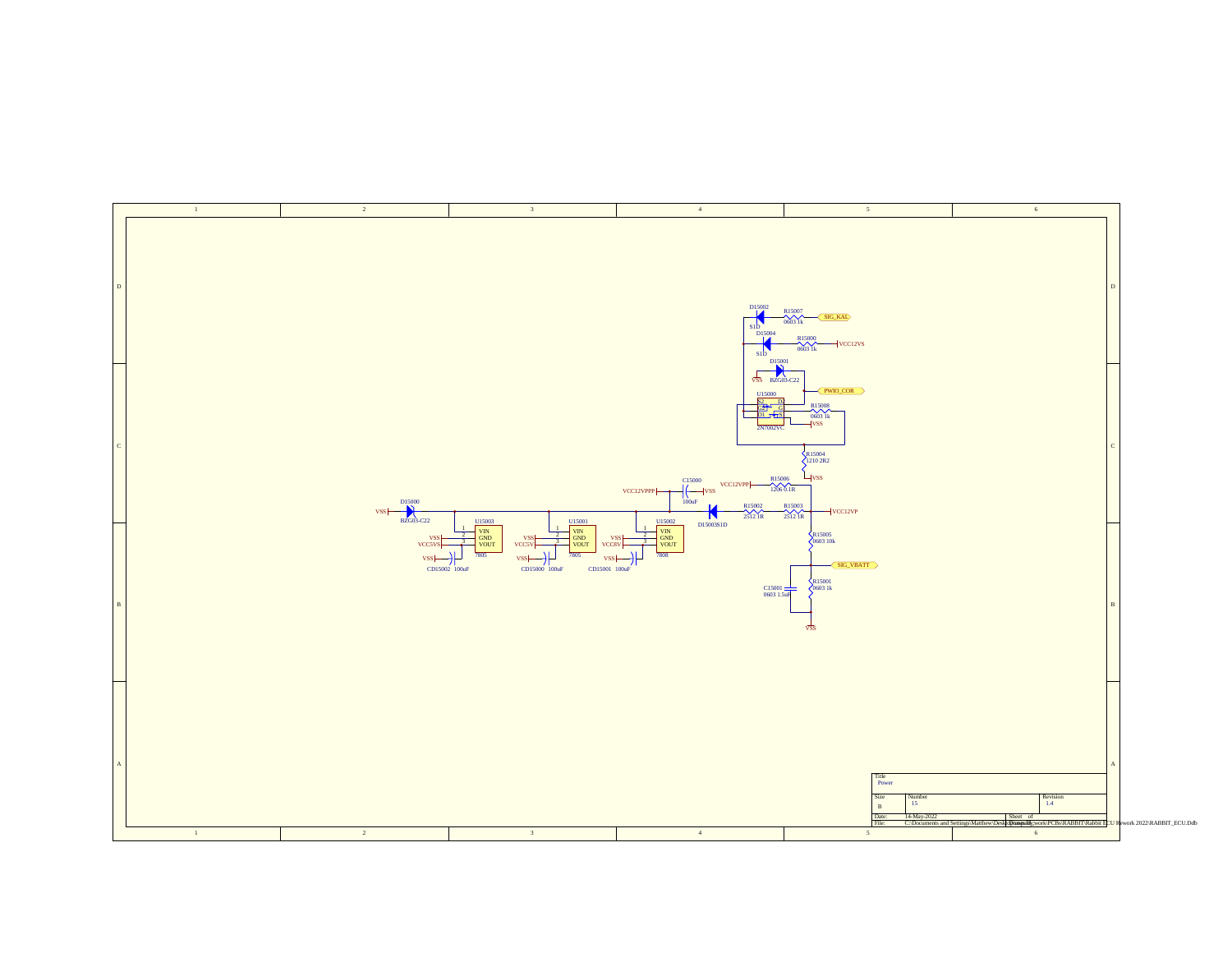